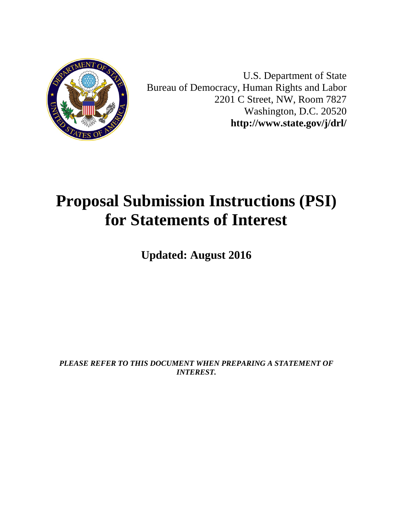

U.S. Department of State Bureau of Democracy, Human Rights and Labor 2201 C Street, NW, Room 7827 Washington, D.C. 20520 **<http://www.state.gov/j/drl/>**

# **Proposal Submission Instructions (PSI) for Statements of Interest**

**Updated: August 2016**

*PLEASE REFER TO THIS DOCUMENT WHEN PREPARING A STATEMENT OF INTEREST.*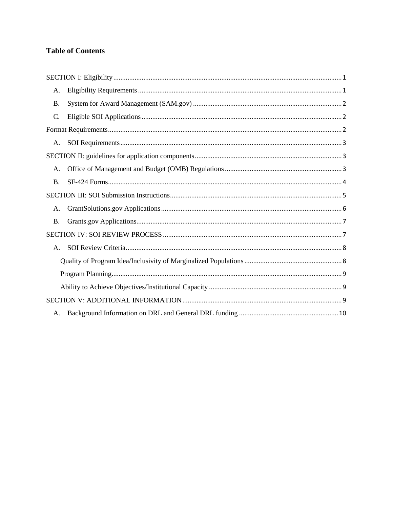#### **Table of Contents**

| А.        |  |
|-----------|--|
| <b>B.</b> |  |
| $C$ .     |  |
|           |  |
| А.        |  |
|           |  |
| A.        |  |
| <b>B.</b> |  |
|           |  |
| А.        |  |
| <b>B.</b> |  |
|           |  |
| A.        |  |
|           |  |
|           |  |
|           |  |
|           |  |
|           |  |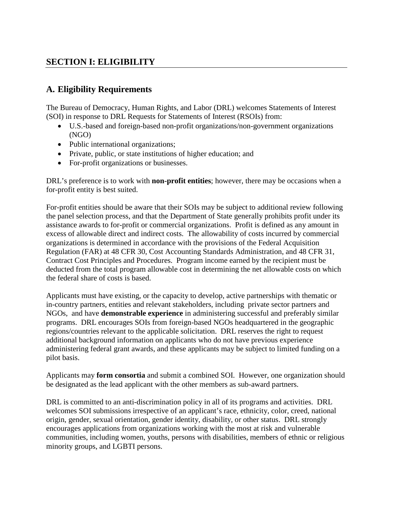## <span id="page-2-0"></span>**SECTION I: ELIGIBILITY**

## <span id="page-2-1"></span>**A. Eligibility Requirements**

The Bureau of Democracy, Human Rights, and Labor (DRL) welcomes Statements of Interest (SOI) in response to DRL Requests for Statements of Interest (RSOIs) from:

- U.S.-based and foreign-based non-profit organizations/non-government organizations (NGO)
- Public international organizations;
- Private, public, or state institutions of higher education; and
- For-profit organizations or businesses.

DRL's preference is to work with **non-profit entities**; however, there may be occasions when a for-profit entity is best suited.

For-profit entities should be aware that their SOIs may be subject to additional review following the panel selection process, and that the Department of State generally prohibits profit under its assistance awards to for-profit or commercial organizations. Profit is defined as any amount in excess of allowable direct and indirect costs. The allowability of costs incurred by commercial organizations is determined in accordance with the provisions of the Federal Acquisition Regulation (FAR) at 48 CFR 30, Cost Accounting Standards Administration, and 48 CFR 31, Contract Cost Principles and Procedures. Program income earned by the recipient must be deducted from the total program allowable cost in determining the net allowable costs on which the federal share of costs is based.

Applicants must have existing, or the capacity to develop, active partnerships with thematic or in-country partners, entities and relevant stakeholders, including private sector partners and NGOs, and have **demonstrable experience** in administering successful and preferably similar programs. DRL encourages SOIs from foreign-based NGOs headquartered in the geographic regions/countries relevant to the applicable solicitation. DRL reserves the right to request additional background information on applicants who do not have previous experience administering federal grant awards, and these applicants may be subject to limited funding on a pilot basis.

Applicants may **form consortia** and submit a combined SOI. However, one organization should be designated as the lead applicant with the other members as sub-award partners.

DRL is committed to an anti-discrimination policy in all of its programs and activities. DRL welcomes SOI submissions irrespective of an applicant's race, ethnicity, color, creed, national origin, gender, sexual orientation, gender identity, disability, or other status. DRL strongly encourages applications from organizations working with the most at risk and vulnerable communities, including women, youths, persons with disabilities, members of ethnic or religious minority groups, and LGBTI persons.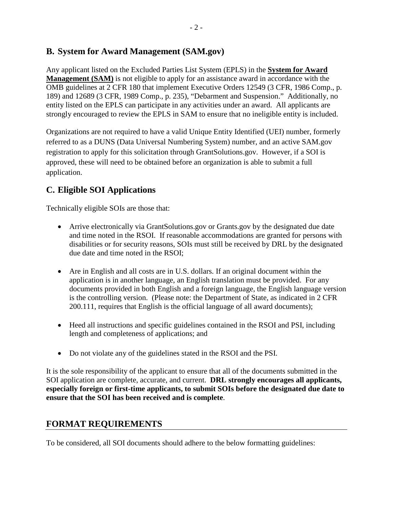#### <span id="page-3-0"></span>**B. System for Award Management (SAM.gov)**

Any applicant listed on the Excluded Parties List System (EPLS) in the **[System for Award](https://www.sam.gov/)  [Management \(SAM\)](https://www.sam.gov/)** is not eligible to apply for an assistance award in accordance with the OMB guidelines at 2 CFR 180 that implement Executive Orders 12549 (3 CFR, 1986 Comp., p. 189) and 12689 (3 CFR, 1989 Comp., p. 235), "Debarment and Suspension." Additionally, no entity listed on the EPLS can participate in any activities under an award. All applicants are strongly encouraged to review the EPLS in SAM to ensure that no ineligible entity is included.

Organizations are not required to have a valid Unique Entity Identified (UEI) number, formerly referred to as a DUNS (Data Universal Numbering System) number, and an active SAM.gov registration to apply for this solicitation through GrantSolutions.gov. However, if a SOI is approved, these will need to be obtained before an organization is able to submit a full application.

# <span id="page-3-1"></span>**C. Eligible SOI Applications**

Technically eligible SOIs are those that:

- Arrive electronically via GrantSolutions.gov or Grants.gov by the designated due date and time noted in the RSOI. If reasonable accommodations are granted for persons with disabilities or for security reasons, SOIs must still be received by DRL by the designated due date and time noted in the RSOI;
- Are in English and all costs are in U.S. dollars. If an original document within the application is in another language, an English translation must be provided. For any documents provided in both English and a foreign language, the English language version is the controlling version. (Please note: the Department of State, as indicated in 2 CFR 200.111, requires that English is the official language of all award documents);
- Heed all instructions and specific guidelines contained in the RSOI and PSI, including length and completeness of applications; and
- Do not violate any of the guidelines stated in the RSOI and the PSI.

It is the sole responsibility of the applicant to ensure that all of the documents submitted in the SOI application are complete, accurate, and current. **DRL strongly encourages all applicants, especially foreign or first-time applicants, to submit SOIs before the designated due date to ensure that the SOI has been received and is complete**.

#### <span id="page-3-2"></span>**FORMAT REQUIREMENTS**

To be considered, all SOI documents should adhere to the below formatting guidelines: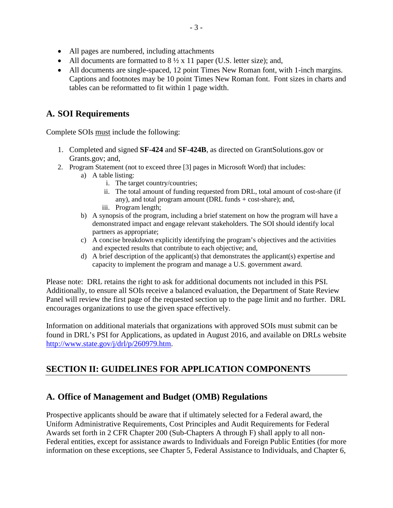- All pages are numbered, including attachments
- All documents are formatted to  $8\frac{1}{2} \times 11$  paper (U.S. letter size); and,
- All documents are single-spaced, 12 point Times New Roman font, with 1-inch margins. Captions and footnotes may be 10 point Times New Roman font. Font sizes in charts and tables can be reformatted to fit within 1 page width.

## <span id="page-4-0"></span>**A. SOI Requirements**

Complete SOIs must include the following:

- 1. Completed and signed **SF-424** and **SF-424B**, as directed on GrantSolutions.gov or Grants.gov; and,
- 2. Program Statement (not to exceed three [3] pages in Microsoft Word) that includes:
	- a) A table listing:
		- i. The target country/countries;
		- ii. The total amount of funding requested from DRL, total amount of cost-share (if any), and total program amount (DRL funds + cost-share); and,
		- iii. Program length;
	- b) A synopsis of the program, including a brief statement on how the program will have a demonstrated impact and engage relevant stakeholders. The SOI should identify local partners as appropriate;
	- c) A concise breakdown explicitly identifying the program's objectives and the activities and expected results that contribute to each objective; and,
	- d) A brief description of the applicant(s) that demonstrates the applicant(s) expertise and capacity to implement the program and manage a U.S. government award.

Please note: DRL retains the right to ask for additional documents not included in this PSI. Additionally, to ensure all SOIs receive a balanced evaluation, the Department of State Review Panel will review the first page of the requested section up to the page limit and no further. DRL encourages organizations to use the given space effectively.

Information on additional materials that organizations with approved SOIs must submit can be found in DRL's PSI for Applications, as updated in August 2016, and available on DRLs website [http://www.state.gov/j/drl/p/260979.htm.](http://www.state.gov/j/drl/p/260979.htm)

# <span id="page-4-1"></span>**SECTION II: GUIDELINES FOR APPLICATION COMPONENTS**

#### <span id="page-4-2"></span>**A. Office of Management and Budget (OMB) Regulations**

Prospective applicants should be aware that if ultimately selected for a Federal award, the Uniform Administrative Requirements, Cost Principles and Audit Requirements for Federal Awards set forth in 2 CFR Chapter 200 (Sub-Chapters A through F) shall apply to all non-Federal entities, except for assistance awards to Individuals and Foreign Public Entities (for more information on these exceptions, see Chapter 5, Federal Assistance to Individuals, and Chapter 6,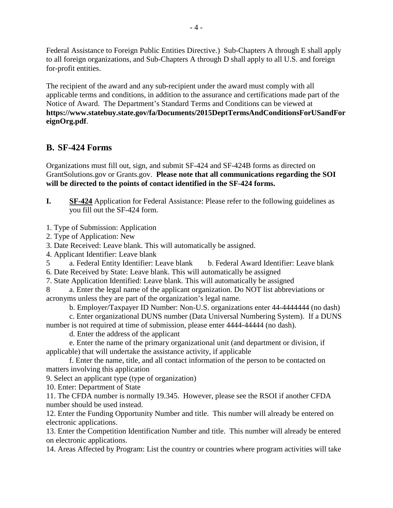Federal Assistance to Foreign Public Entities Directive.) Sub-Chapters A through E shall apply to all foreign organizations, and Sub-Chapters A through D shall apply to all U.S. and foreign for-profit entities.

The recipient of the award and any sub-recipient under the award must comply with all applicable terms and conditions, in addition to the assurance and certifications made part of the Notice of Award. The Department's Standard Terms and Conditions can be viewed at **[https://www.statebuy.state.gov/fa/Documents/2015DeptTermsAndConditionsForUSandFor](https://www.statebuy.state.gov/fa/Documents/2015DeptTermsAndConditionsForUSandForeignOrg.pdf) [eignOrg.pdf](https://www.statebuy.state.gov/fa/Documents/2015DeptTermsAndConditionsForUSandForeignOrg.pdf)**.

#### <span id="page-5-0"></span>**B. SF-424 Forms**

Organizations must fill out, sign, and submit SF-424 and SF-424B forms as directed on GrantSolutions.gov or Grants.gov. **Please note that all communications regarding the SOI will be directed to the points of contact identified in the SF-424 forms.**

**I. SF-424** Application for Federal Assistance: Please refer to the following guidelines as you fill out the SF-424 form.

1. Type of Submission: Application

2. Type of Application: New

3. Date Received: Leave blank. This will automatically be assigned.

4. Applicant Identifier: Leave blank

5 a. Federal Entity Identifier: Leave blank b. Federal Award Identifier: Leave blank

- 6. Date Received by State: Leave blank. This will automatically be assigned
- 7. State Application Identified: Leave blank. This will automatically be assigned

8 a. Enter the legal name of the applicant organization. Do NOT list abbreviations or acronyms unless they are part of the organization's legal name.

b. Employer/Taxpayer ID Number: Non-U.S. organizations enter 44-4444444 (no dash)

c. Enter organizational DUNS number (Data Universal Numbering System). If a DUNS number is not required at time of submission, please enter 4444-44444 (no dash).

d. Enter the address of the applicant

e. Enter the name of the primary organizational unit (and department or division, if applicable) that will undertake the assistance activity, if applicable

f. Enter the name, title, and all contact information of the person to be contacted on matters involving this application

9. Select an applicant type (type of organization)

10. Enter: Department of State

11. The CFDA number is normally 19.345. However, please see the RSOI if another CFDA number should be used instead.

12. Enter the Funding Opportunity Number and title. This number will already be entered on electronic applications.

13. Enter the Competition Identification Number and title. This number will already be entered on electronic applications.

14. Areas Affected by Program: List the country or countries where program activities will take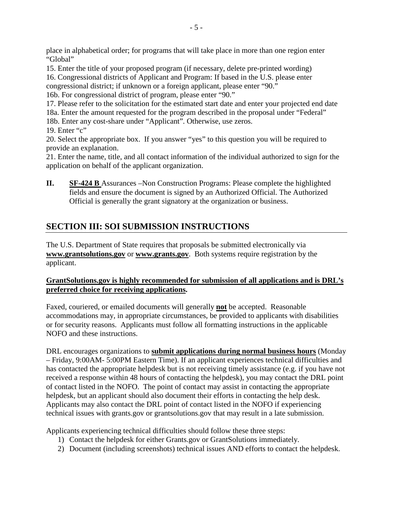place in alphabetical order; for programs that will take place in more than one region enter "Global"

15. Enter the title of your proposed program (if necessary, delete pre-printed wording)

16. Congressional districts of Applicant and Program: If based in the U.S. please enter congressional district; if unknown or a foreign applicant, please enter "90."

16b. For congressional district of program, please enter "90."

17. Please refer to the solicitation for the estimated start date and enter your projected end date 18a. Enter the amount requested for the program described in the proposal under "Federal"

18b. Enter any cost-share under "Applicant". Otherwise, use zeros.

19. Enter "c"

20. Select the appropriate box. If you answer "yes" to this question you will be required to provide an explanation.

21. Enter the name, title, and all contact information of the individual authorized to sign for the application on behalf of the applicant organization.

**II. SF-424 B** Assurances –Non Construction Programs: Please complete the highlighted fields and ensure the document is signed by an Authorized Official. The Authorized Official is generally the grant signatory at the organization or business.

# <span id="page-6-0"></span>**SECTION III: SOI SUBMISSION INSTRUCTIONS**

The U.S. Department of State requires that proposals be submitted electronically via **[www.grantsolutions.gov](http://www.grantsolutions.gov/)** or **[www.grants.gov](http://www.grants.gov/)**. Both systems require registration by the applicant.

#### **GrantSolutions.gov is highly recommended for submission of all applications and is DRL's preferred choice for receiving applications.**

Faxed, couriered, or emailed documents will generally **not** be accepted. Reasonable accommodations may, in appropriate circumstances, be provided to applicants with disabilities or for security reasons. Applicants must follow all formatting instructions in the applicable NOFO and these instructions.

DRL encourages organizations to **submit applications during normal business hours** (Monday – Friday, 9:00AM- 5:00PM Eastern Time). If an applicant experiences technical difficulties and has contacted the appropriate helpdesk but is not receiving timely assistance (e.g. if you have not received a response within 48 hours of contacting the helpdesk), you may contact the DRL point of contact listed in the NOFO. The point of contact may assist in contacting the appropriate helpdesk, but an applicant should also document their efforts in contacting the help desk. Applicants may also contact the DRL point of contact listed in the NOFO if experiencing technical issues with grants.gov or grantsolutions.gov that may result in a late submission.

Applicants experiencing technical difficulties should follow these three steps:

- 1) Contact the helpdesk for either Grants.gov or GrantSolutions immediately.
- 2) Document (including screenshots) technical issues AND efforts to contact the helpdesk.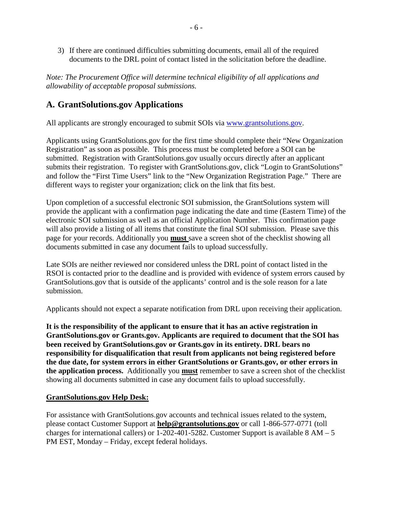3) If there are continued difficulties submitting documents, email all of the required documents to the DRL point of contact listed in the solicitation before the deadline.

*Note: The Procurement Office will determine technical eligibility of all applications and allowability of acceptable proposal submissions.* 

## <span id="page-7-0"></span>**A. GrantSolutions.gov Applications**

All applicants are strongly encouraged to submit SOIs via [www.grantsolutions.gov.](http://www.grantsolutions.gov/)

Applicants using GrantSolutions.gov for the first time should complete their "New Organization Registration" as soon as possible. This process must be completed before a SOI can be submitted. Registration with GrantSolutions.gov usually occurs directly after an applicant submits their registration. To register with GrantSolutions.gov, click "Login to GrantSolutions" and follow the "First Time Users" link to the "New Organization Registration Page." There are different ways to register your organization; click on the link that fits best.

Upon completion of a successful electronic SOI submission, the GrantSolutions system will provide the applicant with a confirmation page indicating the date and time (Eastern Time) of the electronic SOI submission as well as an official Application Number. This confirmation page will also provide a listing of all items that constitute the final SOI submission. Please save this page for your records. Additionally you **must** save a screen shot of the checklist showing all documents submitted in case any document fails to upload successfully.

Late SOIs are neither reviewed nor considered unless the DRL point of contact listed in the RSOI is contacted prior to the deadline and is provided with evidence of system errors caused by GrantSolutions.gov that is outside of the applicants' control and is the sole reason for a late submission.

Applicants should not expect a separate notification from DRL upon receiving their application.

**It is the responsibility of the applicant to ensure that it has an active registration in GrantSolutions.gov or Grants.gov. Applicants are required to document that the SOI has been received by GrantSolutions.gov or Grants.gov in its entirety. DRL bears no responsibility for disqualification that result from applicants not being registered before the due date, for system errors in either GrantSolutions or Grants.gov, or other errors in the application process.** Additionally you **must** remember to save a screen shot of the checklist showing all documents submitted in case any document fails to upload successfully.

#### **GrantSolutions.gov Help Desk:**

For assistance with GrantSolutions.gov accounts and technical issues related to the system, please contact Customer Support at **[help@grantsolutions.gov](mailto:help@grantsolutions.gov)** or call 1-866-577-0771 (toll charges for international callers) or  $1-202-401-5282$ . Customer Support is available  $8 AM - 5$ PM EST, Monday – Friday, except federal holidays.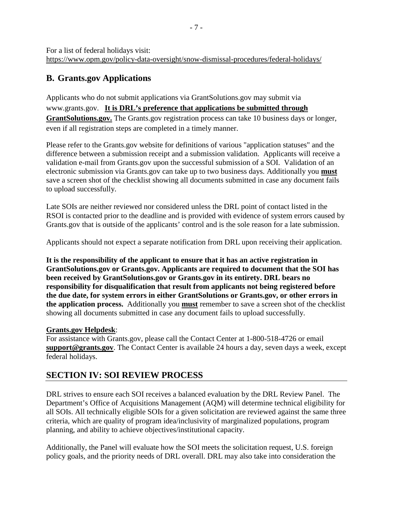For a list of federal holidays visit: <https://www.opm.gov/policy-data-oversight/snow-dismissal-procedures/federal-holidays/>

## <span id="page-8-0"></span>**B. Grants.gov Applications**

Applicants who do not submit applications via GrantSolutions.gov may submit via [www.grants.gov.](http://www.grants.gov/) **It is DRL's preference that applications be submitted through GrantSolutions.gov.** The Grants.gov registration process can take 10 business days or longer, even if all registration steps are completed in a timely manner.

Please refer to the Grants.gov website for definitions of various "application statuses" and the difference between a submission receipt and a submission validation. Applicants will receive a validation e-mail from Grants.gov upon the successful submission of a SOI. Validation of an electronic submission via Grants.gov can take up to two business days. Additionally you **must**  save a screen shot of the checklist showing all documents submitted in case any document fails to upload successfully.

Late SOIs are neither reviewed nor considered unless the DRL point of contact listed in the RSOI is contacted prior to the deadline and is provided with evidence of system errors caused by Grants.gov that is outside of the applicants' control and is the sole reason for a late submission.

Applicants should not expect a separate notification from DRL upon receiving their application.

**It is the responsibility of the applicant to ensure that it has an active registration in GrantSolutions.gov or Grants.gov. Applicants are required to document that the SOI has been received by GrantSolutions.gov or Grants.gov in its entirety. DRL bears no responsibility for disqualification that result from applicants not being registered before the due date, for system errors in either GrantSolutions or Grants.gov, or other errors in the application process.** Additionally you **must** remember to save a screen shot of the checklist showing all documents submitted in case any document fails to upload successfully.

#### **Grants.gov Helpdesk**:

For assistance with Grants.gov, please call the Contact Center at 1-800-518-4726 or email **[support@grants.gov](mailto:support@grants.gov)**. The Contact Center is available 24 hours a day, seven days a week, except federal holidays.

## <span id="page-8-1"></span>**SECTION IV: SOI REVIEW PROCESS**

DRL strives to ensure each SOI receives a balanced evaluation by the DRL Review Panel. The Department's Office of Acquisitions Management (AQM) will determine technical eligibility for all SOIs. All technically eligible SOIs for a given solicitation are reviewed against the same three criteria, which are quality of program idea/inclusivity of marginalized populations, program planning, and ability to achieve objectives/institutional capacity.

Additionally, the Panel will evaluate how the SOI meets the solicitation request, U.S. foreign policy goals, and the priority needs of DRL overall. DRL may also take into consideration the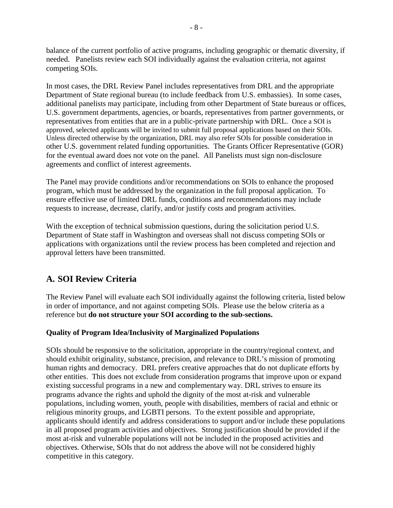balance of the current portfolio of active programs, including geographic or thematic diversity, if needed. Panelists review each SOI individually against the evaluation criteria, not against competing SOIs.

In most cases, the DRL Review Panel includes representatives from DRL and the appropriate Department of State regional bureau (to include feedback from U.S. embassies). In some cases, additional panelists may participate, including from other Department of State bureaus or offices, U.S. government departments, agencies, or boards, representatives from partner governments, or representatives from entities that are in a public-private partnership with DRL. Once a SOI is approved, selected applicants will be invited to submit full proposal applications based on their SOIs. Unless directed otherwise by the organization, DRL may also refer SOIs for possible consideration in other U.S. government related funding opportunities. The Grants Officer Representative (GOR) for the eventual award does not vote on the panel. All Panelists must sign non-disclosure agreements and conflict of interest agreements.

The Panel may provide conditions and/or recommendations on SOIs to enhance the proposed program, which must be addressed by the organization in the full proposal application. To ensure effective use of limited DRL funds, conditions and recommendations may include requests to increase, decrease, clarify, and/or justify costs and program activities.

With the exception of technical submission questions, during the solicitation period U.S. Department of State staff in Washington and overseas shall not discuss competing SOIs or applications with organizations until the review process has been completed and rejection and approval letters have been transmitted.

# <span id="page-9-0"></span>**A. SOI Review Criteria**

The Review Panel will evaluate each SOI individually against the following criteria, listed below in order of importance, and not against competing SOIs. Please use the below criteria as a reference but **do not structure your SOI according to the sub-sections.** 

#### <span id="page-9-1"></span>**Quality of Program Idea/Inclusivity of Marginalized Populations**

SOIs should be responsive to the solicitation, appropriate in the country/regional context, and should exhibit originality, substance, precision, and relevance to DRL's mission of promoting human rights and democracy. DRL prefers creative approaches that do not duplicate efforts by other entities. This does not exclude from consideration programs that improve upon or expand existing successful programs in a new and complementary way. DRL strives to ensure its programs advance the rights and uphold the dignity of the most at-risk and vulnerable populations, including women, youth, people with disabilities, members of racial and ethnic or religious minority groups, and LGBTI persons. To the extent possible and appropriate, applicants should identify and address considerations to support and/or include these populations in all proposed program activities and objectives. Strong justification should be provided if the most at-risk and vulnerable populations will not be included in the proposed activities and objectives. Otherwise, SOIs that do not address the above will not be considered highly competitive in this category.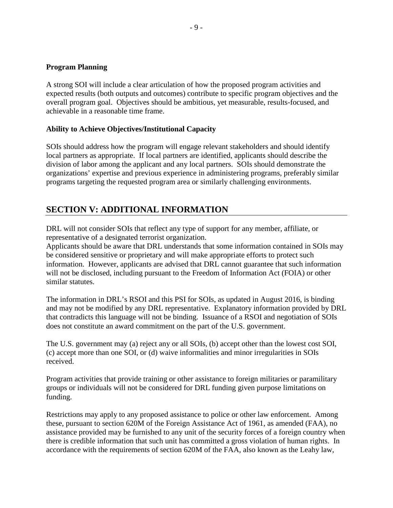#### <span id="page-10-0"></span>**Program Planning**

A strong SOI will include a clear articulation of how the proposed program activities and expected results (both outputs and outcomes) contribute to specific program objectives and the overall program goal. Objectives should be ambitious, yet measurable, results-focused, and achievable in a reasonable time frame.

#### <span id="page-10-1"></span>**Ability to Achieve Objectives/Institutional Capacity**

SOIs should address how the program will engage relevant stakeholders and should identify local partners as appropriate. If local partners are identified, applicants should describe the division of labor among the applicant and any local partners. SOIs should demonstrate the organizations' expertise and previous experience in administering programs, preferably similar programs targeting the requested program area or similarly challenging environments.

#### <span id="page-10-2"></span>**SECTION V: ADDITIONAL INFORMATION**

DRL will not consider SOIs that reflect any type of support for any member, affiliate, or representative of a designated terrorist organization.

Applicants should be aware that DRL understands that some information contained in SOIs may be considered sensitive or proprietary and will make appropriate efforts to protect such information. However, applicants are advised that DRL cannot guarantee that such information will not be disclosed, including pursuant to the Freedom of Information Act (FOIA) or other similar statutes.

The information in DRL's RSOI and this PSI for SOIs, as updated in August 2016, is binding and may not be modified by any DRL representative. Explanatory information provided by DRL that contradicts this language will not be binding. Issuance of a RSOI and negotiation of SOIs does not constitute an award commitment on the part of the U.S. government.

The U.S. government may (a) reject any or all SOIs, (b) accept other than the lowest cost SOI, (c) accept more than one SOI, or (d) waive informalities and minor irregularities in SOIs received.

Program activities that provide training or other assistance to foreign militaries or paramilitary groups or individuals will not be considered for DRL funding given purpose limitations on funding.

Restrictions may apply to any proposed assistance to police or other law enforcement. Among these, pursuant to section 620M of the Foreign Assistance Act of 1961, as amended (FAA), no assistance provided may be furnished to any unit of the security forces of a foreign country when there is credible information that such unit has committed a gross violation of human rights. In accordance with the requirements of section 620M of the FAA, also known as the Leahy law,